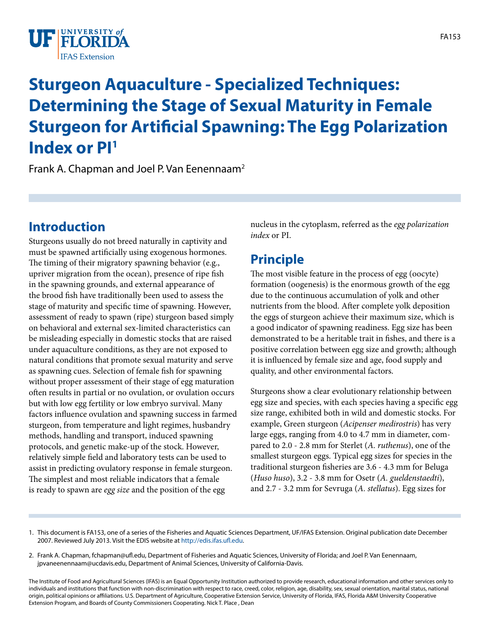

# **Sturgeon Aquaculture - Specialized Techniques: Determining the Stage of Sexual Maturity in Female Sturgeon for Artificial Spawning: The Egg Polarization Index or PI1**

Frank A. Chapman and Joel P. Van Eenennaam<sup>2</sup>

## **Introduction**

Sturgeons usually do not breed naturally in captivity and must be spawned artificially using exogenous hormones. The timing of their migratory spawning behavior (e.g., upriver migration from the ocean), presence of ripe fish in the spawning grounds, and external appearance of the brood fish have traditionally been used to assess the stage of maturity and specific time of spawning. However, assessment of ready to spawn (ripe) sturgeon based simply on behavioral and external sex-limited characteristics can be misleading especially in domestic stocks that are raised under aquaculture conditions, as they are not exposed to natural conditions that promote sexual maturity and serve as spawning cues. Selection of female fish for spawning without proper assessment of their stage of egg maturation often results in partial or no ovulation, or ovulation occurs but with low egg fertility or low embryo survival. Many factors influence ovulation and spawning success in farmed sturgeon, from temperature and light regimes, husbandry methods, handling and transport, induced spawning protocols, and genetic make-up of the stock. However, relatively simple field and laboratory tests can be used to assist in predicting ovulatory response in female sturgeon. The simplest and most reliable indicators that a female is ready to spawn are *egg size* and the position of the egg

nucleus in the cytoplasm, referred as the *egg polarization index* or PI.

## **Principle**

The most visible feature in the process of egg (oocyte) formation (oogenesis) is the enormous growth of the egg due to the continuous accumulation of yolk and other nutrients from the blood. After complete yolk deposition the eggs of sturgeon achieve their maximum size, which is a good indicator of spawning readiness. Egg size has been demonstrated to be a heritable trait in fishes, and there is a positive correlation between egg size and growth; although it is influenced by female size and age, food supply and quality, and other environmental factors.

Sturgeons show a clear evolutionary relationship between egg size and species, with each species having a specific egg size range, exhibited both in wild and domestic stocks. For example, Green sturgeon (*Acipenser medirostris*) has very large eggs, ranging from 4.0 to 4.7 mm in diameter, compared to 2.0 - 2.8 mm for Sterlet (*A. ruthenus*), one of the smallest sturgeon eggs. Typical egg sizes for species in the traditional sturgeon fisheries are 3.6 - 4.3 mm for Beluga (*Huso huso*), 3.2 - 3.8 mm for Osetr (*A. gueldenstaedti*), and 2.7 - 3.2 mm for Sevruga (*A. stellatus*). Egg sizes for

<sup>1.</sup> This document is FA153, one of a series of the Fisheries and Aquatic Sciences Department, UF/IFAS Extension. Original publication date December 2007. Reviewed July 2013. Visit the EDIS website at <http://edis.ifas.ufl.edu>.

<sup>2.</sup> Frank A. Chapman, fchapman@ufl.edu, Department of Fisheries and Aquatic Sciences, University of Florida; and Joel P. Van Eenennaam, jpvaneenennaam@ucdavis.edu, Department of Animal Sciences, University of California-Davis.

The Institute of Food and Agricultural Sciences (IFAS) is an Equal Opportunity Institution authorized to provide research, educational information and other services only to individuals and institutions that function with non-discrimination with respect to race, creed, color, religion, age, disability, sex, sexual orientation, marital status, national origin, political opinions or affiliations. U.S. Department of Agriculture, Cooperative Extension Service, University of Florida, IFAS, Florida A&M University Cooperative Extension Program, and Boards of County Commissioners Cooperating. Nick T. Place , Dean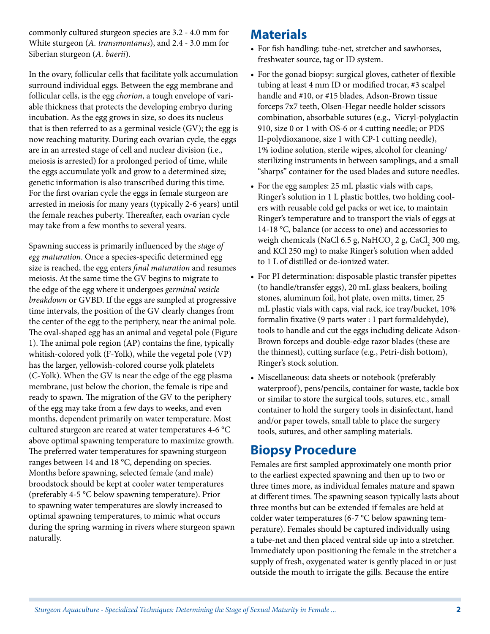commonly cultured sturgeon species are 3.2 - 4.0 mm for White sturgeon (*A. transmontanus*), and 2.4 - 3.0 mm for Siberian sturgeon (*A. baerii*).

In the ovary, follicular cells that facilitate yolk accumulation surround individual eggs. Between the egg membrane and follicular cells, is the egg *chorion*, a tough envelope of variable thickness that protects the developing embryo during incubation. As the egg grows in size, so does its nucleus that is then referred to as a germinal vesicle (GV); the egg is now reaching maturity. During each ovarian cycle, the eggs are in an arrested stage of cell and nuclear division (i.e., meiosis is arrested) for a prolonged period of time, while the eggs accumulate yolk and grow to a determined size; genetic information is also transcribed during this time. For the first ovarian cycle the eggs in female sturgeon are arrested in meiosis for many years (typically 2-6 years) until the female reaches puberty. Thereafter, each ovarian cycle may take from a few months to several years.

Spawning success is primarily influenced by the *stage of egg maturation*. Once a species-specific determined egg size is reached, the egg enters *final maturation* and resumes meiosis. At the same time the GV begins to migrate to the edge of the egg where it undergoes *germinal vesicle breakdown* or GVBD. If the eggs are sampled at progressive time intervals, the position of the GV clearly changes from the center of the egg to the periphery, near the animal pole. The oval-shaped egg has an animal and vegetal pole (Figure 1). The animal pole region (AP) contains the fine, typically whitish-colored yolk (F-Yolk), while the vegetal pole (VP) has the larger, yellowish-colored course yolk platelets (C-Yolk). When the GV is near the edge of the egg plasma membrane, just below the chorion, the female is ripe and ready to spawn. The migration of the GV to the periphery of the egg may take from a few days to weeks, and even months, dependent primarily on water temperature. Most cultured sturgeon are reared at water temperatures 4-6 °C above optimal spawning temperature to maximize growth. The preferred water temperatures for spawning sturgeon ranges between 14 and 18 °C, depending on species. Months before spawning, selected female (and male) broodstock should be kept at cooler water temperatures (preferably 4-5 °C below spawning temperature). Prior to spawning water temperatures are slowly increased to optimal spawning temperatures, to mimic what occurs during the spring warming in rivers where sturgeon spawn naturally.

#### **Materials**

- For fish handling: tube-net, stretcher and sawhorses, freshwater source, tag or ID system.
- For the gonad biopsy: surgical gloves, catheter of flexible tubing at least 4 mm ID or modified trocar, #3 scalpel handle and #10, or #15 blades, Adson-Brown tissue forceps 7x7 teeth, Olsen-Hegar needle holder scissors combination, absorbable sutures (e.g., Vicryl-polyglactin 910, size 0 or 1 with OS-6 or 4 cutting needle; or PDS II-polydioxanone, size 1 with CP-1 cutting needle), 1% iodine solution, sterile wipes, alcohol for cleaning/ sterilizing instruments in between samplings, and a small "sharps" container for the used blades and suture needles.
- For the egg samples: 25 mL plastic vials with caps, Ringer's solution in 1 L plastic bottles, two holding coolers with reusable cold gel packs or wet ice, to maintain Ringer's temperature and to transport the vials of eggs at 14-18 °C, balance (or access to one) and accessories to weigh chemicals (NaCl 6.5 g, NaHCO<sub>3</sub> 2 g, CaCl<sub>2</sub> 300 mg, and KCl 250 mg) to make Ringer's solution when added to 1 L of distilled or de-ionized water.
- For PI determination: disposable plastic transfer pipettes (to handle/transfer eggs), 20 mL glass beakers, boiling stones, aluminum foil, hot plate, oven mitts, timer, 25 mL plastic vials with caps, vial rack, ice tray/bucket, 10% formalin fixative (9 parts water : 1 part formaldehyde), tools to handle and cut the eggs including delicate Adson-Brown forceps and double-edge razor blades (these are the thinnest), cutting surface (e.g., Petri-dish bottom), Ringer's stock solution.
- Miscellaneous: data sheets or notebook (preferably waterproof), pens/pencils, container for waste, tackle box or similar to store the surgical tools, sutures, etc., small container to hold the surgery tools in disinfectant, hand and/or paper towels, small table to place the surgery tools, sutures, and other sampling materials.

#### **Biopsy Procedure**

Females are first sampled approximately one month prior to the earliest expected spawning and then up to two or three times more, as individual females mature and spawn at different times. The spawning season typically lasts about three months but can be extended if females are held at colder water temperatures (6-7 °C below spawning temperature). Females should be captured individually using a tube-net and then placed ventral side up into a stretcher. Immediately upon positioning the female in the stretcher a supply of fresh, oxygenated water is gently placed in or just outside the mouth to irrigate the gills. Because the entire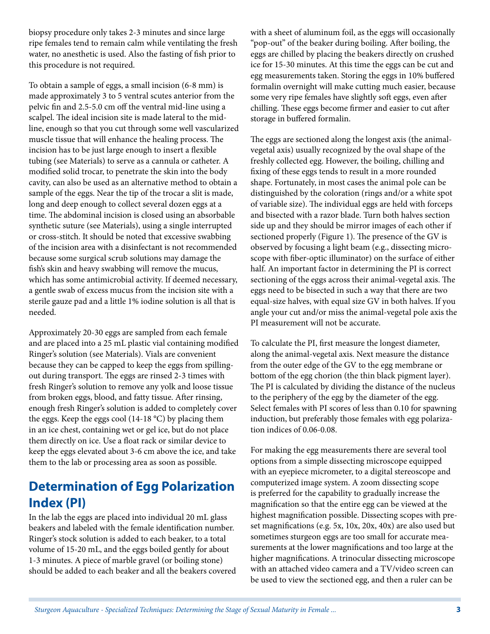biopsy procedure only takes 2-3 minutes and since large ripe females tend to remain calm while ventilating the fresh water, no anesthetic is used. Also the fasting of fish prior to this procedure is not required.

To obtain a sample of eggs, a small incision (6-8 mm) is made approximately 3 to 5 ventral scutes anterior from the pelvic fin and 2.5-5.0 cm off the ventral mid-line using a scalpel. The ideal incision site is made lateral to the midline, enough so that you cut through some well vascularized muscle tissue that will enhance the healing process. The incision has to be just large enough to insert a flexible tubing (see Materials) to serve as a cannula or catheter. A modified solid trocar, to penetrate the skin into the body cavity, can also be used as an alternative method to obtain a sample of the eggs. Near the tip of the trocar a slit is made, long and deep enough to collect several dozen eggs at a time. The abdominal incision is closed using an absorbable synthetic suture (see Materials), using a single interrupted or cross-stitch. It should be noted that excessive swabbing of the incision area with a disinfectant is not recommended because some surgical scrub solutions may damage the fish's skin and heavy swabbing will remove the mucus, which has some antimicrobial activity. If deemed necessary, a gentle swab of excess mucus from the incision site with a sterile gauze pad and a little 1% iodine solution is all that is needed.

Approximately 20-30 eggs are sampled from each female and are placed into a 25 mL plastic vial containing modified Ringer's solution (see Materials). Vials are convenient because they can be capped to keep the eggs from spillingout during transport. The eggs are rinsed 2-3 times with fresh Ringer's solution to remove any yolk and loose tissue from broken eggs, blood, and fatty tissue. After rinsing, enough fresh Ringer's solution is added to completely cover the eggs. Keep the eggs cool (14-18 °C) by placing them in an ice chest, containing wet or gel ice, but do not place them directly on ice. Use a float rack or similar device to keep the eggs elevated about 3-6 cm above the ice, and take them to the lab or processing area as soon as possible.

## **Determination of Egg Polarization Index (PI)**

In the lab the eggs are placed into individual 20 mL glass beakers and labeled with the female identification number. Ringer's stock solution is added to each beaker, to a total volume of 15-20 mL, and the eggs boiled gently for about 1-3 minutes. A piece of marble gravel (or boiling stone) should be added to each beaker and all the beakers covered with a sheet of aluminum foil, as the eggs will occasionally "pop-out" of the beaker during boiling. After boiling, the eggs are chilled by placing the beakers directly on crushed ice for 15-30 minutes. At this time the eggs can be cut and egg measurements taken. Storing the eggs in 10% buffered formalin overnight will make cutting much easier, because some very ripe females have slightly soft eggs, even after chilling. These eggs become firmer and easier to cut after storage in buffered formalin.

The eggs are sectioned along the longest axis (the animalvegetal axis) usually recognized by the oval shape of the freshly collected egg. However, the boiling, chilling and fixing of these eggs tends to result in a more rounded shape. Fortunately, in most cases the animal pole can be distinguished by the coloration (rings and/or a white spot of variable size). The individual eggs are held with forceps and bisected with a razor blade. Turn both halves section side up and they should be mirror images of each other if sectioned properly (Figure 1). The presence of the GV is observed by focusing a light beam (e.g., dissecting microscope with fiber-optic illuminator) on the surface of either half. An important factor in determining the PI is correct sectioning of the eggs across their animal-vegetal axis. The eggs need to be bisected in such a way that there are two equal-size halves, with equal size GV in both halves. If you angle your cut and/or miss the animal-vegetal pole axis the PI measurement will not be accurate.

To calculate the PI, first measure the longest diameter, along the animal-vegetal axis. Next measure the distance from the outer edge of the GV to the egg membrane or bottom of the egg chorion (the thin black pigment layer). The PI is calculated by dividing the distance of the nucleus to the periphery of the egg by the diameter of the egg. Select females with PI scores of less than 0.10 for spawning induction, but preferably those females with egg polarization indices of 0.06-0.08.

For making the egg measurements there are several tool options from a simple dissecting microscope equipped with an eyepiece micrometer, to a digital stereoscope and computerized image system. A zoom dissecting scope is preferred for the capability to gradually increase the magnification so that the entire egg can be viewed at the highest magnification possible. Dissecting scopes with preset magnifications (e.g. 5x, 10x, 20x, 40x) are also used but sometimes sturgeon eggs are too small for accurate measurements at the lower magnifications and too large at the higher magnifications. A trinocular dissecting microscope with an attached video camera and a TV/video screen can be used to view the sectioned egg, and then a ruler can be